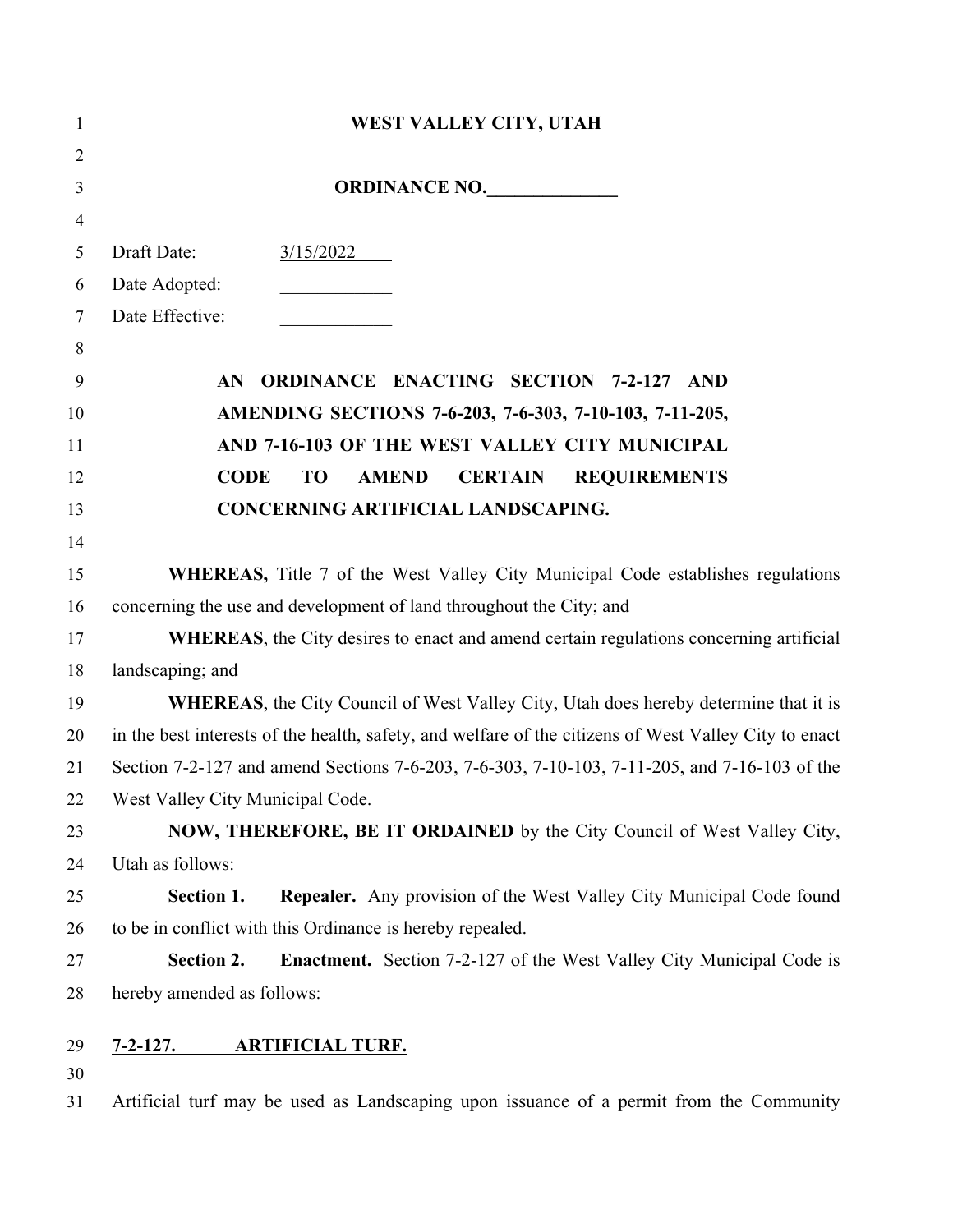| $\mathbf{1}$   | WEST VALLEY CITY, UTAH                                                                                |  |  |
|----------------|-------------------------------------------------------------------------------------------------------|--|--|
| $\overline{2}$ |                                                                                                       |  |  |
| $\mathfrak{Z}$ | ORDINANCE NO.                                                                                         |  |  |
| $\overline{4}$ |                                                                                                       |  |  |
| 5              | Draft Date:<br>3/15/2022                                                                              |  |  |
| 6              | Date Adopted:                                                                                         |  |  |
| $\tau$         | Date Effective:                                                                                       |  |  |
| $\,8\,$        |                                                                                                       |  |  |
| 9              | <b>ORDINANCE ENACTING SECTION 7-2-127 AND</b><br>AN                                                   |  |  |
| 10             | AMENDING SECTIONS 7-6-203, 7-6-303, 7-10-103, 7-11-205,                                               |  |  |
| 11             | AND 7-16-103 OF THE WEST VALLEY CITY MUNICIPAL                                                        |  |  |
| 12             | <b>CODE</b><br><b>AMEND</b><br><b>CERTAIN</b><br>TO<br><b>REQUIREMENTS</b>                            |  |  |
| 13             | CONCERNING ARTIFICIAL LANDSCAPING.                                                                    |  |  |
| 14             |                                                                                                       |  |  |
| 15             | <b>WHEREAS</b> , Title 7 of the West Valley City Municipal Code establishes regulations               |  |  |
| 16             | concerning the use and development of land throughout the City; and                                   |  |  |
| 17             | WHEREAS, the City desires to enact and amend certain regulations concerning artificial                |  |  |
| 18             | landscaping; and                                                                                      |  |  |
| 19             | <b>WHEREAS</b> , the City Council of West Valley City, Utah does hereby determine that it is          |  |  |
| 20             | in the best interests of the health, safety, and welfare of the citizens of West Valley City to enact |  |  |
| 21             | Section 7-2-127 and amend Sections 7-6-203, 7-6-303, 7-10-103, 7-11-205, and 7-16-103 of the          |  |  |
| 22             | West Valley City Municipal Code.                                                                      |  |  |
| 23             | NOW, THEREFORE, BE IT ORDAINED by the City Council of West Valley City,                               |  |  |
| 24             | Utah as follows:                                                                                      |  |  |
| 25             | <b>Repealer.</b> Any provision of the West Valley City Municipal Code found<br>Section 1.             |  |  |
| 26             | to be in conflict with this Ordinance is hereby repealed.                                             |  |  |
| 27             | <b>Enactment.</b> Section 7-2-127 of the West Valley City Municipal Code is<br>Section 2.             |  |  |
| 28             | hereby amended as follows:                                                                            |  |  |
|                |                                                                                                       |  |  |
| 29<br>30       | <b>ARTIFICIAL TURF.</b><br>$7 - 2 - 127.$                                                             |  |  |
| 31             | Artificial turf may be used as Landscaping upon issuance of a permit from the Community               |  |  |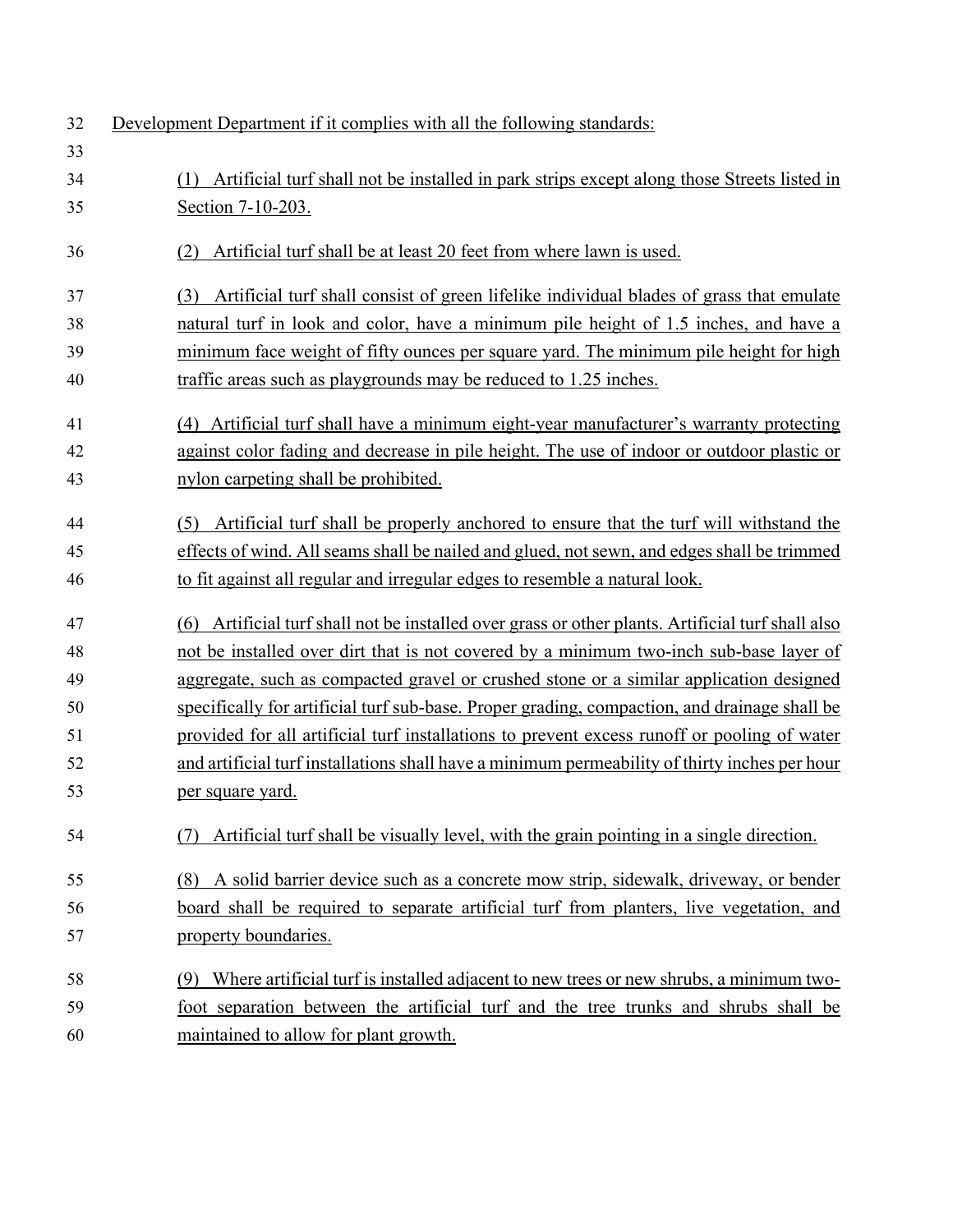| 32 | Development Department if it complies with all the following standards:                              |
|----|------------------------------------------------------------------------------------------------------|
| 33 |                                                                                                      |
| 34 | Artificial turf shall not be installed in park strips except along those Streets listed in<br>(1)    |
| 35 | Section 7-10-203.                                                                                    |
| 36 | Artificial turf shall be at least 20 feet from where lawn is used.<br>(2)                            |
| 37 | Artificial turf shall consist of green lifelike individual blades of grass that emulate<br>(3)       |
| 38 | natural turf in look and color, have a minimum pile height of 1.5 inches, and have a                 |
| 39 | minimum face weight of fifty ounces per square yard. The minimum pile height for high                |
| 40 | traffic areas such as playgrounds may be reduced to 1.25 inches.                                     |
| 41 | (4) Artificial turf shall have a minimum eight-year manufacturer's warranty protecting               |
| 42 | against color fading and decrease in pile height. The use of indoor or outdoor plastic or            |
| 43 | nylon carpeting shall be prohibited.                                                                 |
| 44 | Artificial turf shall be properly anchored to ensure that the turf will withstand the<br>(5)         |
| 45 | effects of wind. All seams shall be nailed and glued, not sewn, and edges shall be trimmed           |
| 46 | to fit against all regular and irregular edges to resemble a natural look.                           |
| 47 | Artificial turf shall not be installed over grass or other plants. Artificial turf shall also<br>(6) |
| 48 | not be installed over dirt that is not covered by a minimum two-inch sub-base layer of               |
| 49 | aggregate, such as compacted gravel or crushed stone or a similar application designed               |
| 50 | specifically for artificial turf sub-base. Proper grading, compaction, and drainage shall be         |
| 51 | provided for all artificial turf installations to prevent excess runoff or pooling of water          |
| 52 | and artificial turf installations shall have a minimum permeability of thirty inches per hour        |
| 53 | per square yard.                                                                                     |
| 54 | Artificial turf shall be visually level, with the grain pointing in a single direction.<br>(7)       |
| 55 | A solid barrier device such as a concrete mow strip, sidewalk, driveway, or bender<br>(8)            |
| 56 | board shall be required to separate artificial turf from planters, live vegetation, and              |
| 57 | property boundaries.                                                                                 |
| 58 | Where artificial turf is installed adjacent to new trees or new shrubs, a minimum two-<br>(9)        |
| 59 | foot separation between the artificial turf and the tree trunks and shrubs shall be                  |
| 60 | maintained to allow for plant growth.                                                                |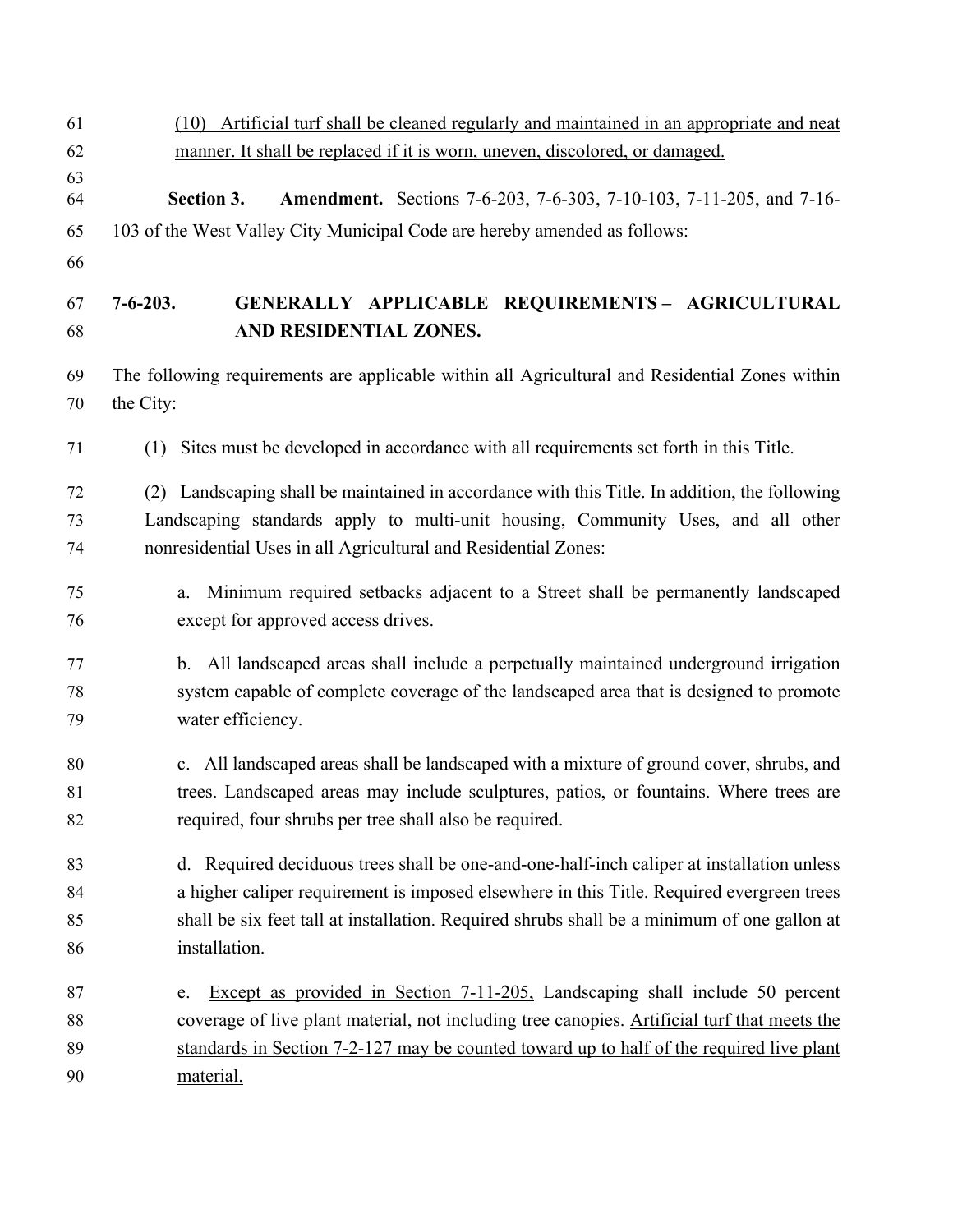| 61       | (10) Artificial turf shall be cleaned regularly and maintained in an appropriate and neat                   |  |  |  |
|----------|-------------------------------------------------------------------------------------------------------------|--|--|--|
| 62       | manner. It shall be replaced if it is worn, uneven, discolored, or damaged.                                 |  |  |  |
| 63<br>64 | <b>Amendment.</b> Sections 7-6-203, 7-6-303, 7-10-103, 7-11-205, and 7-16-<br>Section 3.                    |  |  |  |
| 65       | 103 of the West Valley City Municipal Code are hereby amended as follows:                                   |  |  |  |
| 66       |                                                                                                             |  |  |  |
| 67       | GENERALLY APPLICABLE REQUIREMENTS- AGRICULTURAL<br>$7 - 6 - 203.$                                           |  |  |  |
| 68       | AND RESIDENTIAL ZONES.                                                                                      |  |  |  |
| 69<br>70 | The following requirements are applicable within all Agricultural and Residential Zones within<br>the City: |  |  |  |
| 71       | (1) Sites must be developed in accordance with all requirements set forth in this Title.                    |  |  |  |
| 72       | (2) Landscaping shall be maintained in accordance with this Title. In addition, the following               |  |  |  |
| 73       | Landscaping standards apply to multi-unit housing, Community Uses, and all other                            |  |  |  |
| 74       | nonresidential Uses in all Agricultural and Residential Zones:                                              |  |  |  |
| 75       | Minimum required setbacks adjacent to a Street shall be permanently landscaped<br>a.                        |  |  |  |
| 76       | except for approved access drives.                                                                          |  |  |  |
| 77       | b. All landscaped areas shall include a perpetually maintained underground irrigation                       |  |  |  |
| 78       | system capable of complete coverage of the landscaped area that is designed to promote                      |  |  |  |
| 79       | water efficiency.                                                                                           |  |  |  |
| 80       | c. All landscaped areas shall be landscaped with a mixture of ground cover, shrubs, and                     |  |  |  |
| 81       | trees. Landscaped areas may include sculptures, patios, or fountains. Where trees are                       |  |  |  |
| 82       | required, four shrubs per tree shall also be required.                                                      |  |  |  |
| 83       | d. Required deciduous trees shall be one-and-one-half-inch caliper at installation unless                   |  |  |  |
| 84       | a higher caliper requirement is imposed elsewhere in this Title. Required evergreen trees                   |  |  |  |
| 85       | shall be six feet tall at installation. Required shrubs shall be a minimum of one gallon at                 |  |  |  |
| 86       | installation.                                                                                               |  |  |  |
| 87       | Except as provided in Section 7-11-205, Landscaping shall include 50 percent<br>e.                          |  |  |  |
| 88       | coverage of live plant material, not including tree canopies. Artificial turf that meets the                |  |  |  |
| 89       | standards in Section 7-2-127 may be counted toward up to half of the required live plant                    |  |  |  |
| 90       | material.                                                                                                   |  |  |  |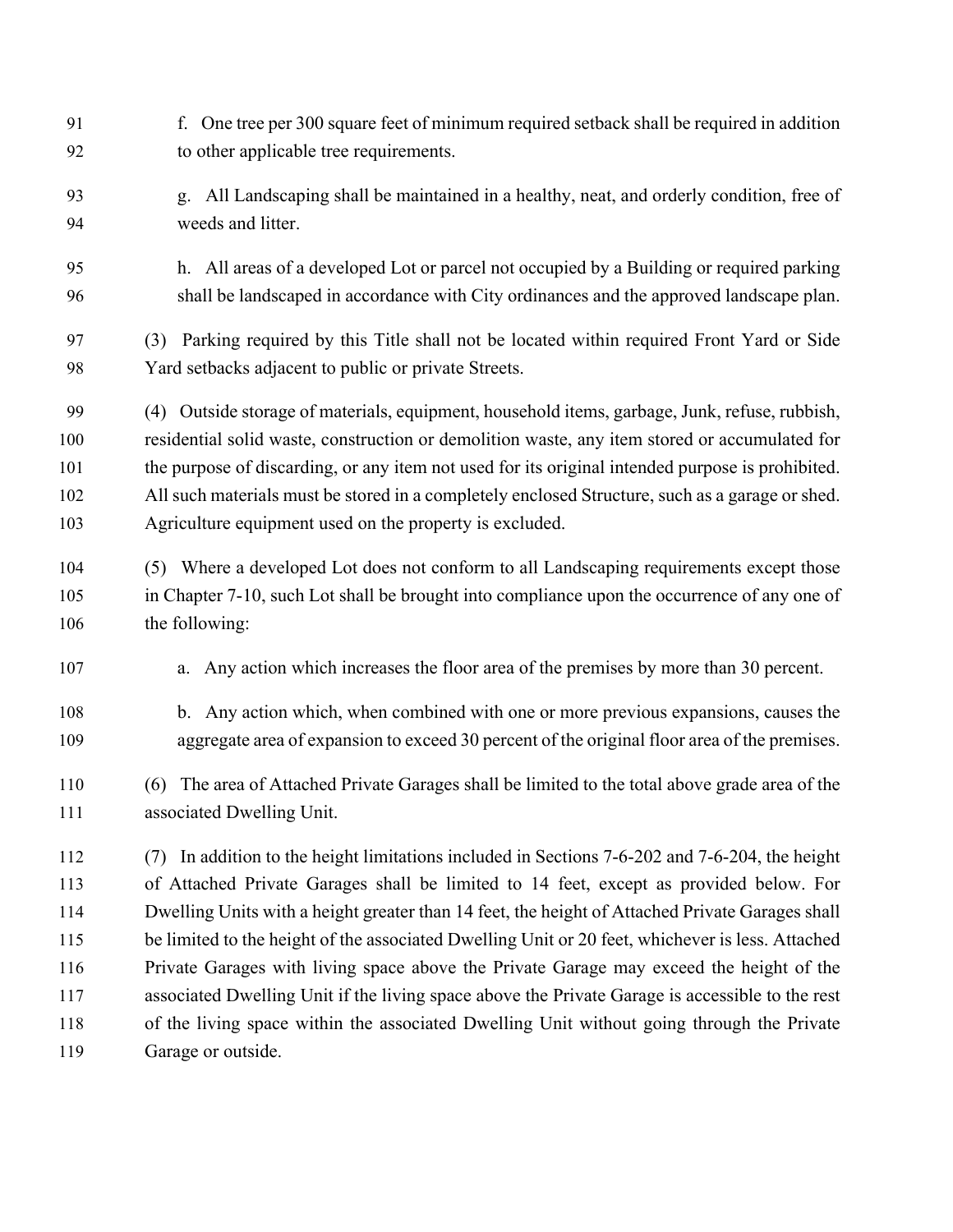- f. One tree per 300 square feet of minimum required setback shall be required in addition to other applicable tree requirements.
- g. All Landscaping shall be maintained in a healthy, neat, and orderly condition, free of weeds and litter.
- h. All areas of a developed Lot or parcel not occupied by a Building or required parking shall be landscaped in accordance with City ordinances and the approved landscape plan.

 (3) Parking required by this Title shall not be located within required Front Yard or Side Yard setbacks adjacent to public or private Streets.

 (4) Outside storage of materials, equipment, household items, garbage, Junk, refuse, rubbish, residential solid waste, construction or demolition waste, any item stored or accumulated for the purpose of discarding, or any item not used for its original intended purpose is prohibited. All such materials must be stored in a completely enclosed Structure, such as a garage or shed. Agriculture equipment used on the property is excluded.

- (5) Where a developed Lot does not conform to all Landscaping requirements except those in Chapter [7-10,](https://westvalleycity.municipal.codes/Code/7-10) such Lot shall be brought into compliance upon the occurrence of any one of 106 the following:
- a. Any action which increases the floor area of the premises by more than 30 percent.
- b. Any action which, when combined with one or more previous expansions, causes the aggregate area of expansion to exceed 30 percent of the original floor area of the premises.
- (6) The area of Attached Private Garages shall be limited to the total above grade area of the associated Dwelling Unit.

 (7) In addition to the height limitations included in Sections [7-6-202](https://westvalleycity.municipal.codes/Code/7-6-202) and [7-6-204,](https://westvalleycity.municipal.codes/Code/7-6-204) the height of Attached Private Garages shall be limited to 14 feet, except as provided below. For Dwelling Units with a height greater than 14 feet, the height of Attached Private Garages shall 115 be limited to the height of the associated Dwelling Unit or 20 feet, whichever is less. Attached Private Garages with living space above the Private Garage may exceed the height of the associated Dwelling Unit if the living space above the Private Garage is accessible to the rest of the living space within the associated Dwelling Unit without going through the Private Garage or outside.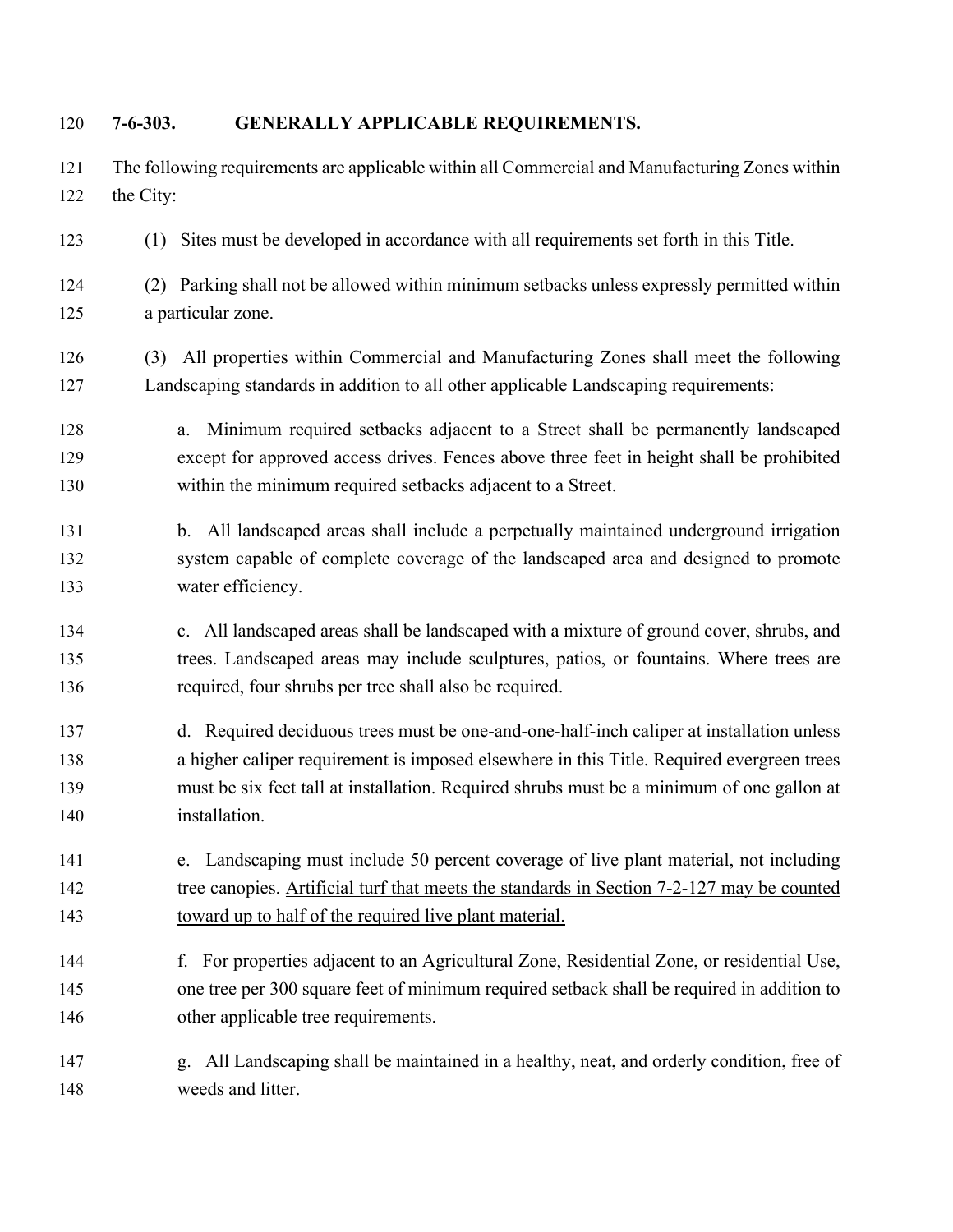| 120                      | $7 - 6 - 303.$ | GENERALLY APPLICABLE REQUIREMENTS.                                                                                                                                                                                                                                                                  |
|--------------------------|----------------|-----------------------------------------------------------------------------------------------------------------------------------------------------------------------------------------------------------------------------------------------------------------------------------------------------|
| 121<br>122               | the City:      | The following requirements are applicable within all Commercial and Manufacturing Zones within                                                                                                                                                                                                      |
| 123                      |                | (1) Sites must be developed in accordance with all requirements set forth in this Title.                                                                                                                                                                                                            |
| 124<br>125               |                | (2) Parking shall not be allowed within minimum setbacks unless expressly permitted within<br>a particular zone.                                                                                                                                                                                    |
| 126<br>127               | (3)            | All properties within Commercial and Manufacturing Zones shall meet the following<br>Landscaping standards in addition to all other applicable Landscaping requirements:                                                                                                                            |
| 128<br>129<br>130        |                | Minimum required setbacks adjacent to a Street shall be permanently landscaped<br>a.<br>except for approved access drives. Fences above three feet in height shall be prohibited<br>within the minimum required setbacks adjacent to a Street.                                                      |
| 131<br>132<br>133        |                | b. All landscaped areas shall include a perpetually maintained underground irrigation<br>system capable of complete coverage of the landscaped area and designed to promote<br>water efficiency.                                                                                                    |
| 134<br>135<br>136        |                | c. All landscaped areas shall be landscaped with a mixture of ground cover, shrubs, and<br>trees. Landscaped areas may include sculptures, patios, or fountains. Where trees are<br>required, four shrubs per tree shall also be required.                                                          |
| 137<br>138<br>139<br>140 |                | d. Required deciduous trees must be one-and-one-half-inch caliper at installation unless<br>a higher caliper requirement is imposed elsewhere in this Title. Required evergreen trees<br>must be six feet tall at installation. Required shrubs must be a minimum of one gallon at<br>installation. |
| 141<br>142<br>143        |                | e. Landscaping must include 50 percent coverage of live plant material, not including<br>tree canopies. Artificial turf that meets the standards in Section 7-2-127 may be counted<br>toward up to half of the required live plant material.                                                        |
| 144<br>145<br>146        |                | f. For properties adjacent to an Agricultural Zone, Residential Zone, or residential Use,<br>one tree per 300 square feet of minimum required setback shall be required in addition to<br>other applicable tree requirements.                                                                       |
| 147<br>148               |                | All Landscaping shall be maintained in a healthy, neat, and orderly condition, free of<br>g.<br>weeds and litter.                                                                                                                                                                                   |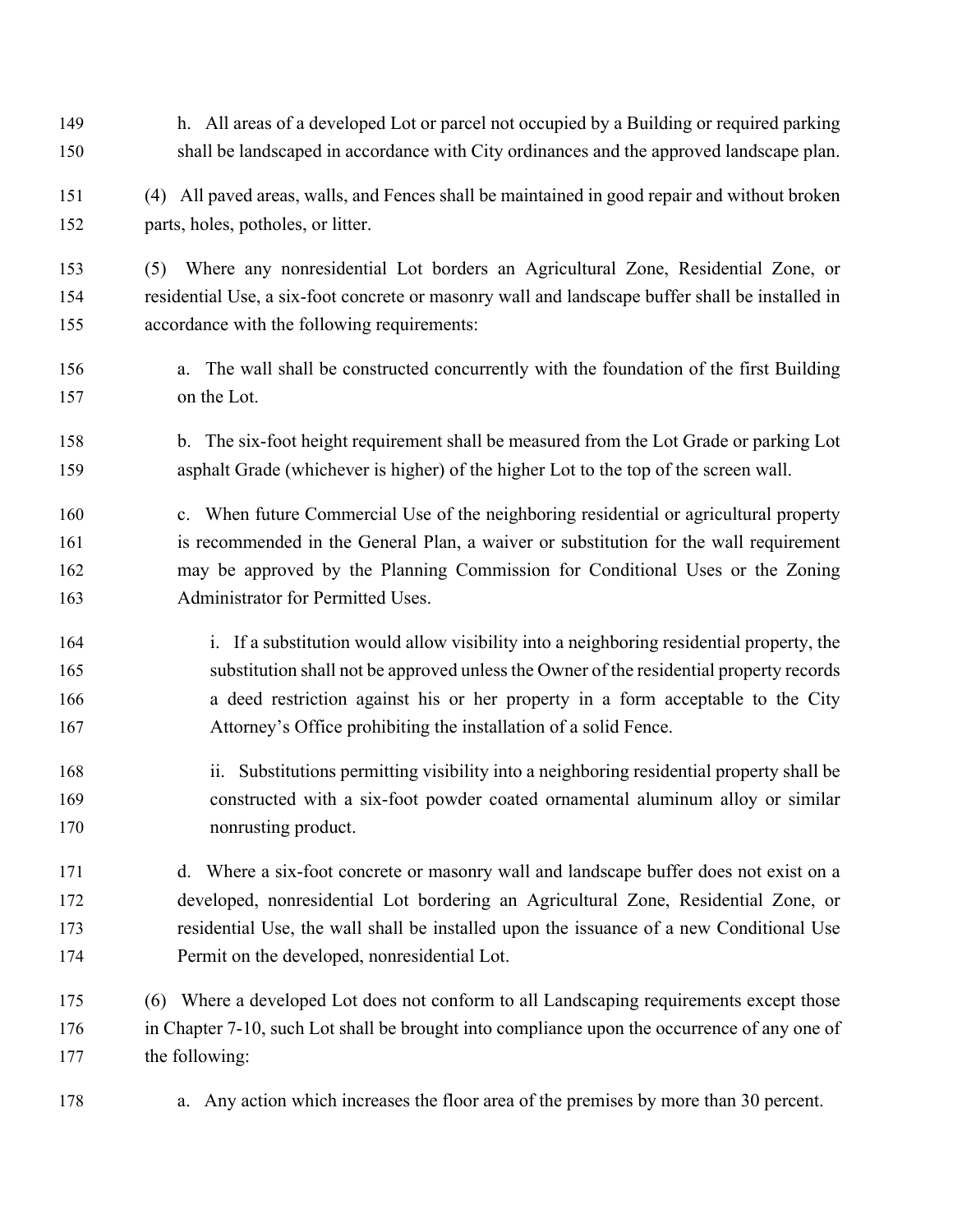- h. All areas of a developed Lot or parcel not occupied by a Building or required parking shall be landscaped in accordance with City ordinances and the approved landscape plan.
- (4) All paved areas, walls, and Fences shall be maintained in good repair and without broken parts, holes, potholes, or litter.

 (5) Where any nonresidential Lot borders an Agricultural Zone, Residential Zone, or residential Use, a six-foot concrete or masonry wall and landscape buffer shall be installed in accordance with the following requirements:

- a. The wall shall be constructed concurrently with the foundation of the first Building on the Lot.
- b. The six-foot height requirement shall be measured from the Lot Grade or parking Lot asphalt Grade (whichever is higher) of the higher Lot to the top of the screen wall.
- c. When future Commercial Use of the neighboring residential or agricultural property is recommended in the General Plan, a waiver or substitution for the wall requirement may be approved by the Planning Commission for Conditional Uses or the Zoning Administrator for Permitted Uses.
- i. If a substitution would allow visibility into a neighboring residential property, the substitution shall not be approved unless the Owner of the residential property records a deed restriction against his or her property in a form acceptable to the City Attorney's Office prohibiting the installation of a solid Fence.
- ii. Substitutions permitting visibility into a neighboring residential property shall be constructed with a six-foot powder coated ornamental aluminum alloy or similar nonrusting product.
- d. Where a six-foot concrete or masonry wall and landscape buffer does not exist on a developed, nonresidential Lot bordering an Agricultural Zone, Residential Zone, or residential Use, the wall shall be installed upon the issuance of a new Conditional Use Permit on the developed, nonresidential Lot.
- (6) Where a developed Lot does not conform to all Landscaping requirements except those in Chapter [7-10,](https://westvalleycity.municipal.codes/Code/7-10) such Lot shall be brought into compliance upon the occurrence of any one of the following:
- a. Any action which increases the floor area of the premises by more than 30 percent.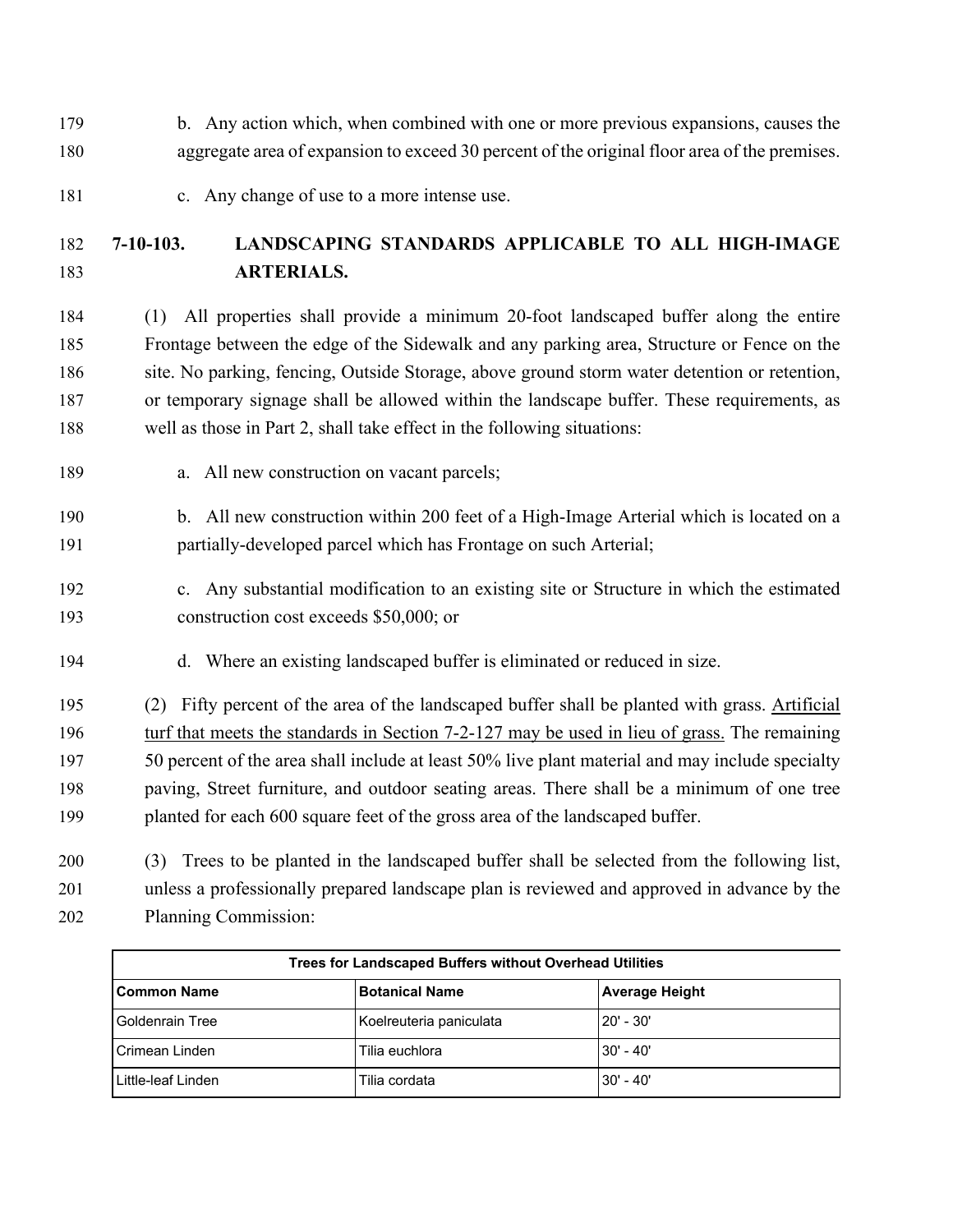- b. Any action which, when combined with one or more previous expansions, causes the aggregate area of expansion to exceed 30 percent of the original floor area of the premises.
- 181 c. Any change of use to a more intense use.

## **7-10-103. LANDSCAPING STANDARDS APPLICABLE TO ALL HIGH-IMAGE ARTERIALS.**

 (1) All properties shall provide a minimum 20-foot landscaped buffer along the entire Frontage between the edge of the Sidewalk and any parking area, Structure or Fence on the site. No parking, fencing, Outside Storage, above ground storm water detention or retention, or temporary signage shall be allowed within the landscape buffer. These requirements, as well as those in Part 2, shall take effect in the following situations:

- a. All new construction on vacant parcels;
- b. All new construction within 200 feet of a High-Image Arterial which is located on a partially-developed parcel which has Frontage on such Arterial;
- c. Any substantial modification to an existing site or Structure in which the estimated construction cost exceeds \$50,000; or
- d. Where an existing landscaped buffer is eliminated or reduced in size.

 (2) Fifty percent of the area of the landscaped buffer shall be planted with grass. Artificial turf that meets the standards in Section 7-2-127 may be used in lieu of grass. The remaining 197 50 percent of the area shall include at least 50% live plant material and may include specialty paving, Street furniture, and outdoor seating areas. There shall be a minimum of one tree planted for each 600 square feet of the gross area of the landscaped buffer.

 (3) Trees to be planted in the landscaped buffer shall be selected from the following list, unless a professionally prepared landscape plan is reviewed and approved in advance by the Planning Commission:

| Trees for Landscaped Buffers without Overhead Utilities |                         |                |  |
|---------------------------------------------------------|-------------------------|----------------|--|
| <b>Common Name</b>                                      | <b>Botanical Name</b>   | Average Height |  |
| <b>Goldenrain Tree</b>                                  | Koelreuteria paniculata | 120' - 30'     |  |
| Crimean Linden                                          | Tilia euchlora          | 130' - 40'     |  |
| Little-leaf Linden                                      | Tilia cordata           | 130' - 40'     |  |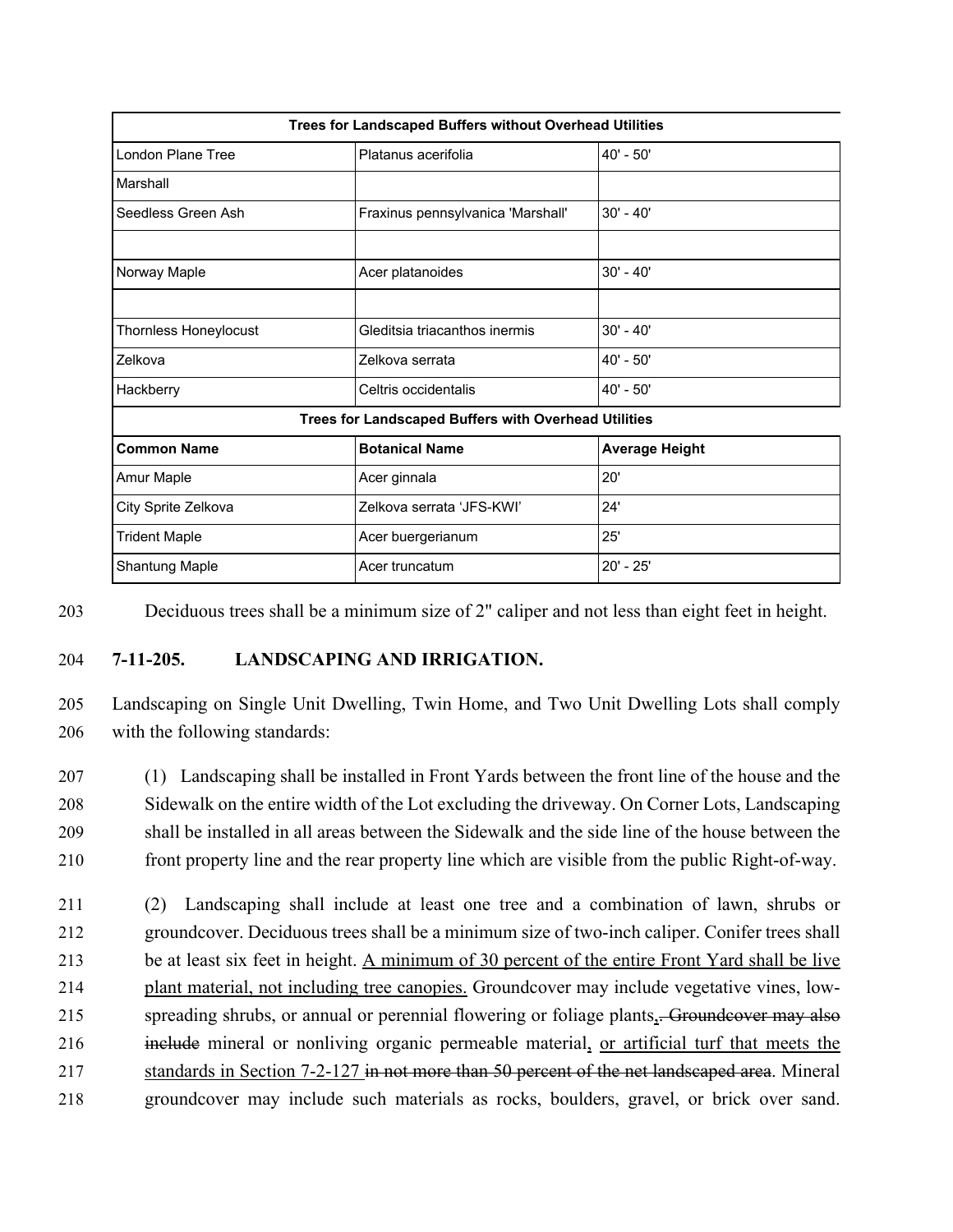| Trees for Landscaped Buffers without Overhead Utilities     |                                   |                       |  |
|-------------------------------------------------------------|-----------------------------------|-----------------------|--|
| London Plane Tree                                           | Platanus acerifolia               | $40' - 50'$           |  |
| Marshall                                                    |                                   |                       |  |
| Seedless Green Ash                                          | Fraxinus pennsylvanica 'Marshall' | $30' - 40'$           |  |
|                                                             |                                   |                       |  |
| Norway Maple                                                | Acer platanoides                  | $30' - 40'$           |  |
|                                                             |                                   |                       |  |
| Thornless Honeylocust                                       | Gleditsia triacanthos inermis     | $30' - 40'$           |  |
| Zelkova                                                     | Zelkova serrata                   | $40' - 50'$           |  |
| Hackberry                                                   | Celtris occidentalis              | $40' - 50'$           |  |
| <b>Trees for Landscaped Buffers with Overhead Utilities</b> |                                   |                       |  |
| <b>Common Name</b>                                          | <b>Botanical Name</b>             | <b>Average Height</b> |  |
| Amur Maple                                                  | Acer ginnala                      | 20'                   |  |
| City Sprite Zelkova                                         | Zelkova serrata 'JFS-KWI'         | 24'                   |  |
| <b>Trident Maple</b>                                        | Acer buergerianum                 | 25'                   |  |
| <b>Shantung Maple</b>                                       | Acer truncatum                    | 20' - 25'             |  |

203 Deciduous trees shall be a minimum size of 2" caliper and not less than eight feet in height.

## 204 **7-11-205. LANDSCAPING AND IRRIGATION.**

205 Landscaping on Single Unit Dwelling, Twin Home, and Two Unit Dwelling Lots shall comply 206 with the following standards:

 (1) Landscaping shall be installed in Front Yards between the front line of the house and the Sidewalk on the entire width of the Lot excluding the driveway. On Corner Lots, Landscaping shall be installed in all areas between the Sidewalk and the side line of the house between the front property line and the rear property line which are visible from the public Right-of-way.

 (2) Landscaping shall include at least one tree and a combination of lawn, shrubs or groundcover. Deciduous trees shall be a minimum size of two-inch caliper. Conifer trees shall be at least six feet in height. A minimum of 30 percent of the entire Front Yard shall be live plant material, not including tree canopies. Groundcover may include vegetative vines, low-215 spreading shrubs, or annual or perennial flowering or foliage plants, Groundcover may also 216 include mineral or nonliving organic permeable material, or artificial turf that meets the 217 standards in Section 7-2-127 in not more than 50 percent of the net landscaped area. Mineral groundcover may include such materials as rocks, boulders, gravel, or brick over sand.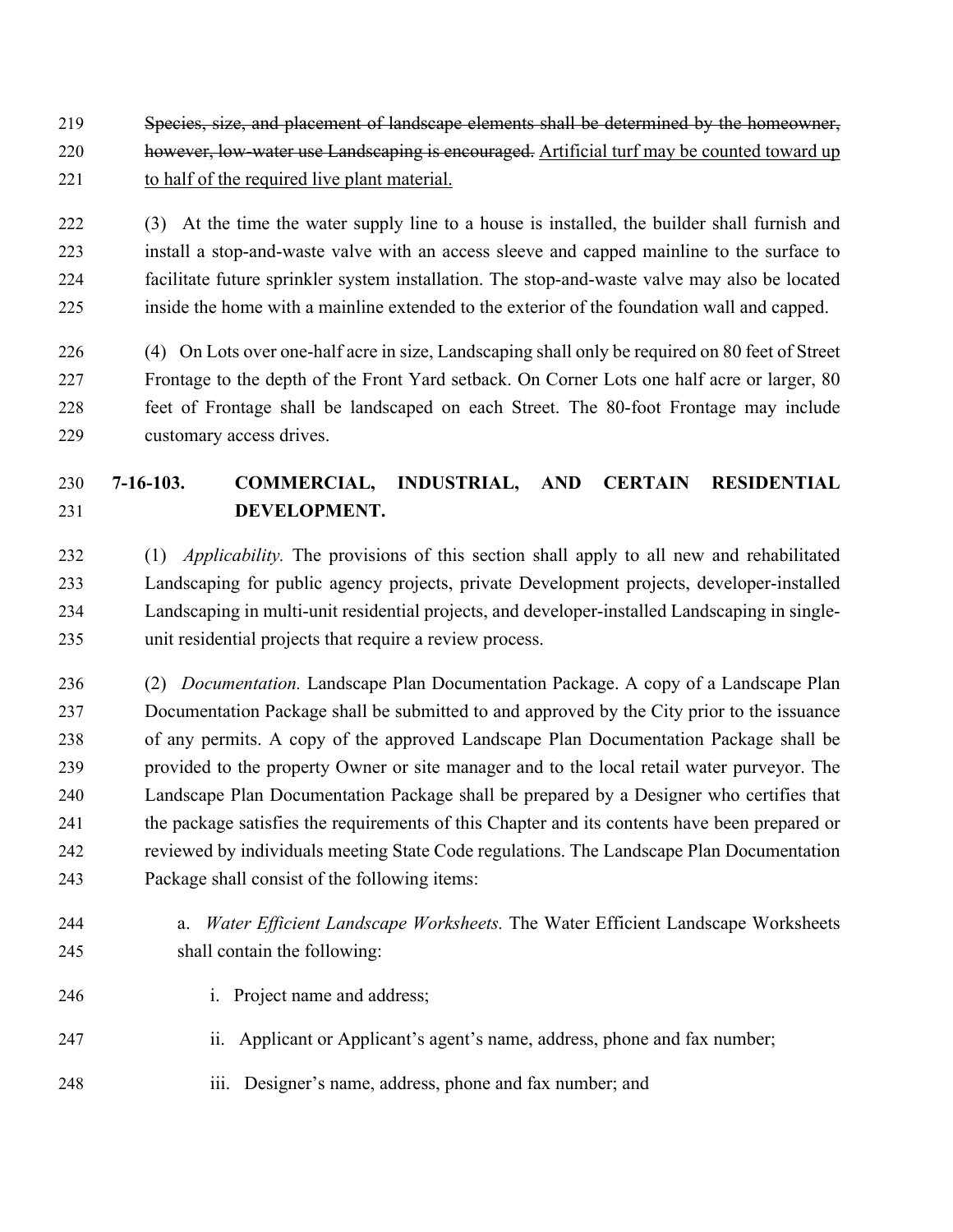Species, size, and placement of landscape elements shall be determined by the homeowner, 220 however, low-water use Landscaping is encouraged. Artificial turf may be counted toward up 221 to half of the required live plant material.

 (3) At the time the water supply line to a house is installed, the builder shall furnish and install a stop-and-waste valve with an access sleeve and capped mainline to the surface to facilitate future sprinkler system installation. The stop-and-waste valve may also be located inside the home with a mainline extended to the exterior of the foundation wall and capped.

 (4) On Lots over one-half acre in size, Landscaping shall only be required on 80 feet of Street Frontage to the depth of the Front Yard setback. On Corner Lots one half acre or larger, 80 feet of Frontage shall be landscaped on each Street. The 80-foot Frontage may include customary access drives.

## **7-16-103. COMMERCIAL, INDUSTRIAL, AND CERTAIN RESIDENTIAL DEVELOPMENT.**

 (1) *Applicability.* The provisions of this section shall apply to all new and rehabilitated Landscaping for public agency projects, private Development projects, developer-installed Landscaping in multi-unit residential projects, and developer-installed Landscaping in single-unit residential projects that require a review process.

 (2) *Documentation.* Landscape Plan Documentation Package. A copy of a Landscape Plan Documentation Package shall be submitted to and approved by the City prior to the issuance of any permits. A copy of the approved Landscape Plan Documentation Package shall be provided to the property Owner or site manager and to the local retail water purveyor. The Landscape Plan Documentation Package shall be prepared by a Designer who certifies that the package satisfies the requirements of this Chapter and its contents have been prepared or reviewed by individuals meeting State Code regulations. The Landscape Plan Documentation Package shall consist of the following items:

- a. *Water Efficient Landscape Worksheets.* The Water Efficient Landscape Worksheets shall contain the following:
- i. Project name and address;
- ii. Applicant or Applicant's agent's name, address, phone and fax number;
- iii. Designer's name, address, phone and fax number; and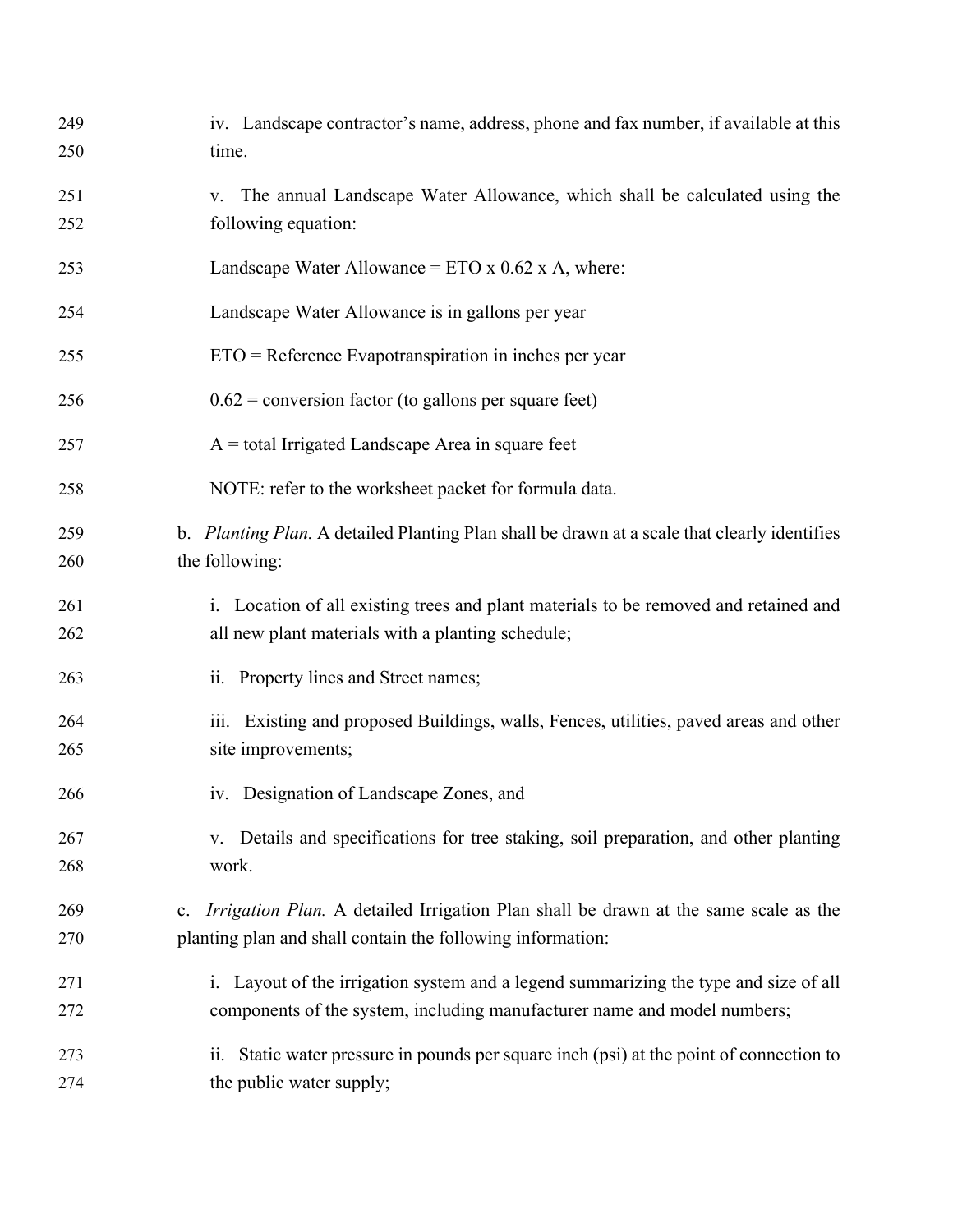| 249<br>250 | iv. Landscape contractor's name, address, phone and fax number, if available at this<br>time.                                                                    |
|------------|------------------------------------------------------------------------------------------------------------------------------------------------------------------|
| 251<br>252 | The annual Landscape Water Allowance, which shall be calculated using the<br>V.<br>following equation:                                                           |
| 253        | Landscape Water Allowance = $ETO \times 0.62 \times A$ , where:                                                                                                  |
| 254        | Landscape Water Allowance is in gallons per year                                                                                                                 |
| 255        | $ETO =$ Reference Evapotranspiration in inches per year                                                                                                          |
| 256        | $0.62$ = conversion factor (to gallons per square feet)                                                                                                          |
| 257        | $A =$ total Irrigated Landscape Area in square feet                                                                                                              |
| 258        | NOTE: refer to the worksheet packet for formula data.                                                                                                            |
| 259<br>260 | b. Planting Plan. A detailed Planting Plan shall be drawn at a scale that clearly identifies<br>the following:                                                   |
| 261<br>262 | i. Location of all existing trees and plant materials to be removed and retained and<br>all new plant materials with a planting schedule;                        |
| 263        | ii. Property lines and Street names;                                                                                                                             |
| 264<br>265 | iii. Existing and proposed Buildings, walls, Fences, utilities, paved areas and other<br>site improvements;                                                      |
| 266        | iv. Designation of Landscape Zones, and                                                                                                                          |
| 267<br>268 | v. Details and specifications for tree staking, soil preparation, and other planting<br>work.                                                                    |
| 269<br>270 | Irrigation Plan. A detailed Irrigation Plan shall be drawn at the same scale as the<br>c.<br>planting plan and shall contain the following information:          |
| 271<br>272 | i. Layout of the irrigation system and a legend summarizing the type and size of all<br>components of the system, including manufacturer name and model numbers; |
| 273<br>274 | ii. Static water pressure in pounds per square inch (psi) at the point of connection to<br>the public water supply;                                              |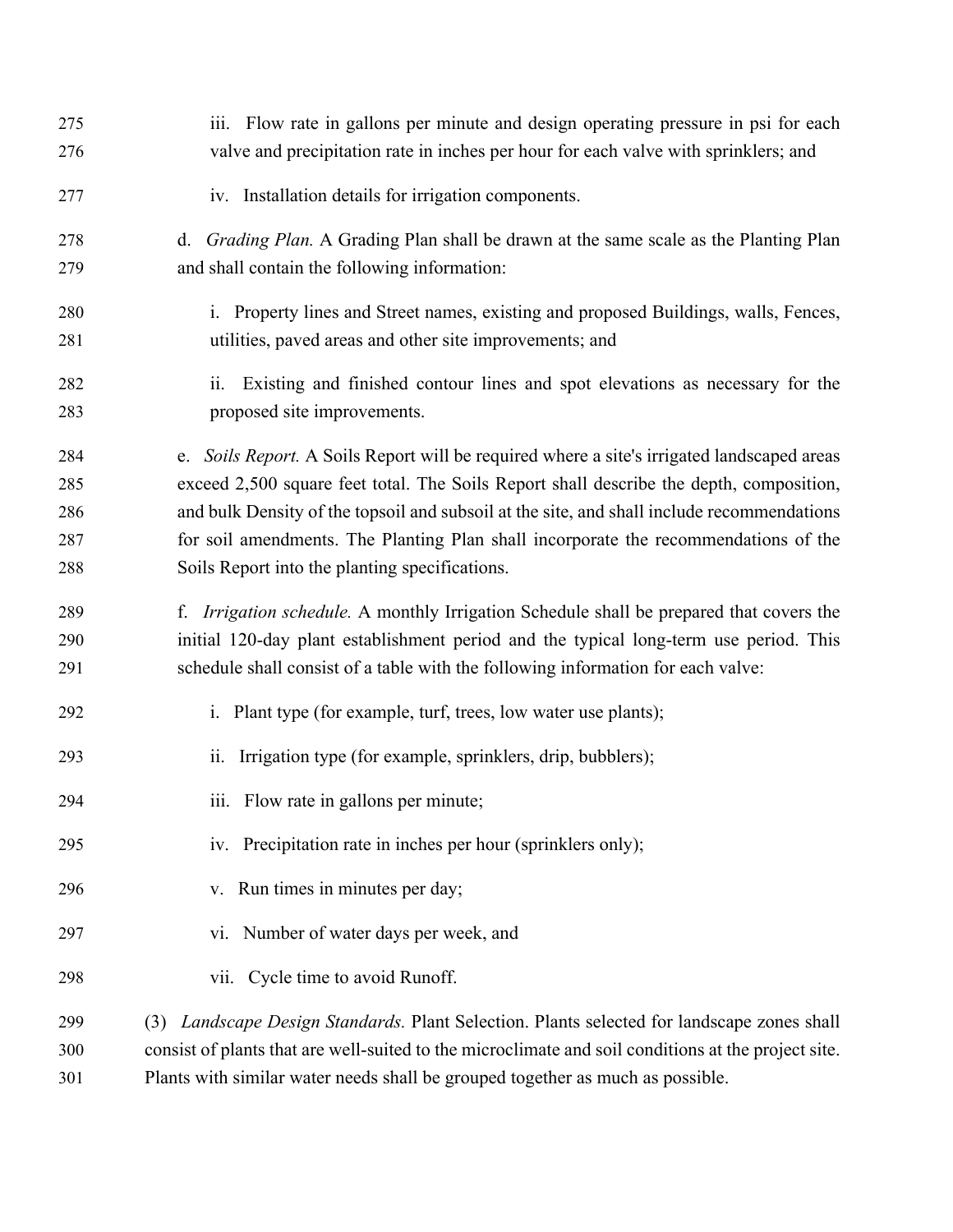| 275 | iii. Flow rate in gallons per minute and design operating pressure in psi for each                  |
|-----|-----------------------------------------------------------------------------------------------------|
| 276 | valve and precipitation rate in inches per hour for each valve with sprinklers; and                 |
| 277 | iv. Installation details for irrigation components.                                                 |
| 278 | d. Grading Plan. A Grading Plan shall be drawn at the same scale as the Planting Plan               |
| 279 | and shall contain the following information:                                                        |
| 280 | i. Property lines and Street names, existing and proposed Buildings, walls, Fences,                 |
| 281 | utilities, paved areas and other site improvements; and                                             |
| 282 | Existing and finished contour lines and spot elevations as necessary for the<br>ii.                 |
| 283 | proposed site improvements.                                                                         |
| 284 | e. Soils Report. A Soils Report will be required where a site's irrigated landscaped areas          |
| 285 | exceed 2,500 square feet total. The Soils Report shall describe the depth, composition,             |
| 286 | and bulk Density of the topsoil and subsoil at the site, and shall include recommendations          |
| 287 | for soil amendments. The Planting Plan shall incorporate the recommendations of the                 |
| 288 | Soils Report into the planting specifications.                                                      |
| 289 | f. <i>Irrigation schedule</i> . A monthly Irrigation Schedule shall be prepared that covers the     |
| 290 | initial 120-day plant establishment period and the typical long-term use period. This               |
| 291 | schedule shall consist of a table with the following information for each valve:                    |
| 292 | i. Plant type (for example, turf, trees, low water use plants);                                     |
| 293 | Irrigation type (for example, sprinklers, drip, bubblers);<br>ii.                                   |
| 294 | iii. Flow rate in gallons per minute;                                                               |
| 295 | iv. Precipitation rate in inches per hour (sprinklers only);                                        |
| 296 | v. Run times in minutes per day;                                                                    |
| 297 | vi. Number of water days per week, and                                                              |
| 298 | Cycle time to avoid Runoff.<br>vii.                                                                 |
| 299 | Landscape Design Standards. Plant Selection. Plants selected for landscape zones shall<br>(3)       |
| 300 | consist of plants that are well-suited to the microclimate and soil conditions at the project site. |
| 301 | Plants with similar water needs shall be grouped together as much as possible.                      |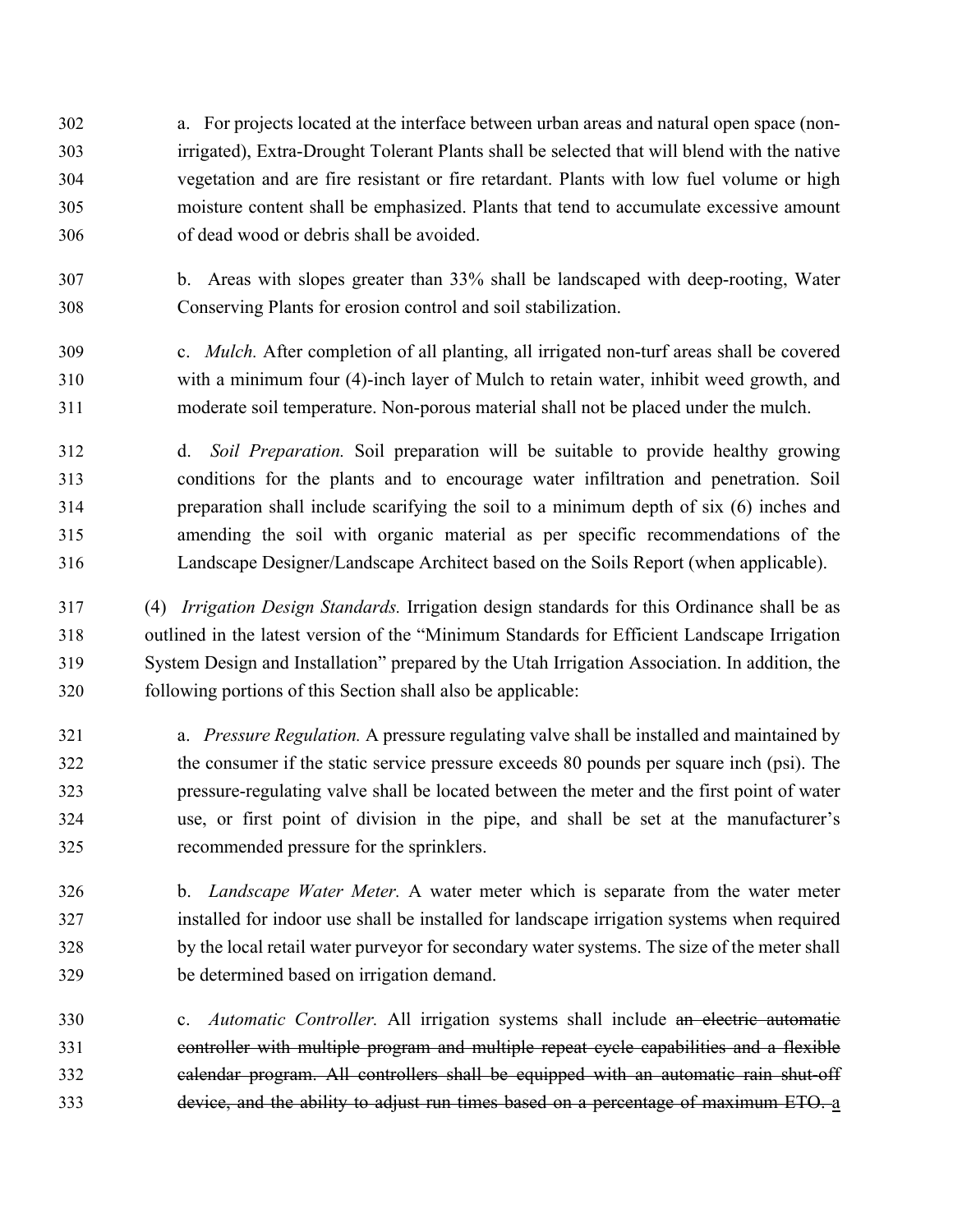a. For projects located at the interface between urban areas and natural open space (non- irrigated), Extra-Drought Tolerant Plants shall be selected that will blend with the native vegetation and are fire resistant or fire retardant. Plants with low fuel volume or high moisture content shall be emphasized. Plants that tend to accumulate excessive amount of dead wood or debris shall be avoided.

- b. Areas with slopes greater than 33% shall be landscaped with deep-rooting, Water Conserving Plants for erosion control and soil stabilization.
- c. *Mulch.* After completion of all planting, all irrigated non-turf areas shall be covered with a minimum four (4)-inch layer of Mulch to retain water, inhibit weed growth, and moderate soil temperature. Non-porous material shall not be placed under the mulch.
- d. *Soil Preparation.* Soil preparation will be suitable to provide healthy growing conditions for the plants and to encourage water infiltration and penetration. Soil preparation shall include scarifying the soil to a minimum depth of six (6) inches and amending the soil with organic material as per specific recommendations of the Landscape Designer/Landscape Architect based on the Soils Report (when applicable).

 (4) *Irrigation Design Standards.* Irrigation design standards for this Ordinance shall be as outlined in the latest version of the "Minimum Standards for Efficient Landscape Irrigation System Design and Installation" prepared by the Utah Irrigation Association. In addition, the following portions of this Section shall also be applicable:

- a. *Pressure Regulation.* A pressure regulating valve shall be installed and maintained by the consumer if the static service pressure exceeds 80 pounds per square inch (psi). The pressure-regulating valve shall be located between the meter and the first point of water use, or first point of division in the pipe, and shall be set at the manufacturer's recommended pressure for the sprinklers.
- b. *Landscape Water Meter.* A water meter which is separate from the water meter installed for indoor use shall be installed for landscape irrigation systems when required by the local retail water purveyor for secondary water systems. The size of the meter shall be determined based on irrigation demand.
- c. *Automatic Controller.* All irrigation systems shall include an electric automatic controller with multiple program and multiple repeat cycle capabilities and a flexible calendar program. All controllers shall be equipped with an automatic rain shut-off device, and the ability to adjust run times based on a percentage of maximum ETO. a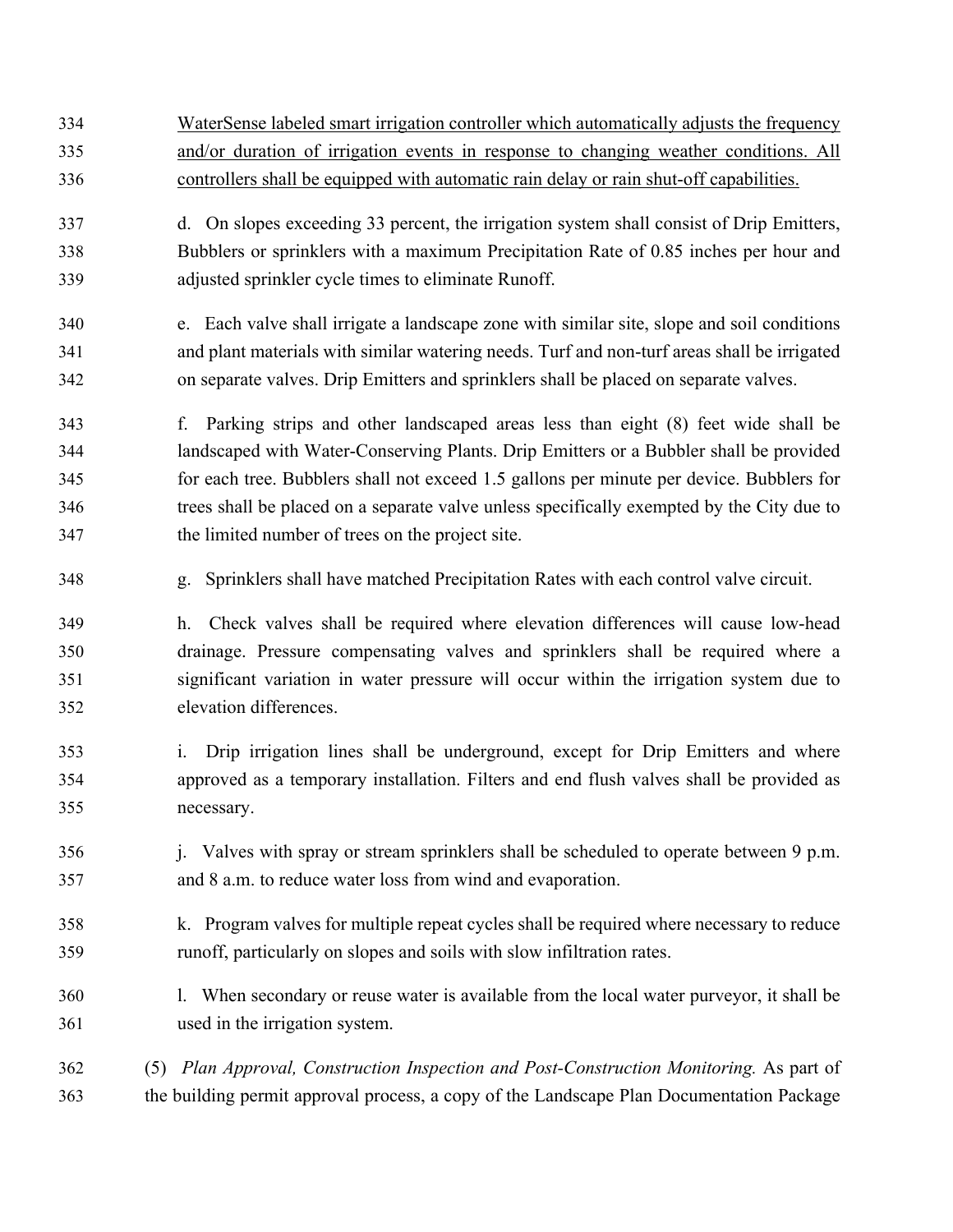WaterSense labeled smart irrigation controller which automatically adjusts the frequency and/or duration of irrigation events in response to changing weather conditions. All controllers shall be equipped with automatic rain delay or rain shut-off capabilities. d. On slopes exceeding 33 percent, the irrigation system shall consist of Drip Emitters, Bubblers or sprinklers with a maximum Precipitation Rate of 0.85 inches per hour and adjusted sprinkler cycle times to eliminate Runoff. e. Each valve shall irrigate a landscape zone with similar site, slope and soil conditions and plant materials with similar watering needs. Turf and non-turf areas shall be irrigated on separate valves. Drip Emitters and sprinklers shall be placed on separate valves. f. Parking strips and other landscaped areas less than eight (8) feet wide shall be landscaped with Water-Conserving Plants. Drip Emitters or a Bubbler shall be provided for each tree. Bubblers shall not exceed 1.5 gallons per minute per device. Bubblers for trees shall be placed on a separate valve unless specifically exempted by the City due to the limited number of trees on the project site. g. Sprinklers shall have matched Precipitation Rates with each control valve circuit. h. Check valves shall be required where elevation differences will cause low-head drainage. Pressure compensating valves and sprinklers shall be required where a significant variation in water pressure will occur within the irrigation system due to elevation differences. i. Drip irrigation lines shall be underground, except for Drip Emitters and where approved as a temporary installation. Filters and end flush valves shall be provided as necessary. j. Valves with spray or stream sprinklers shall be scheduled to operate between 9 p.m. and 8 a.m. to reduce water loss from wind and evaporation. k. Program valves for multiple repeat cycles shall be required where necessary to reduce runoff, particularly on slopes and soils with slow infiltration rates. l. When secondary or reuse water is available from the local water purveyor, it shall be used in the irrigation system. (5) *Plan Approval, Construction Inspection and Post-Construction Monitoring.* As part of the building permit approval process, a copy of the Landscape Plan Documentation Package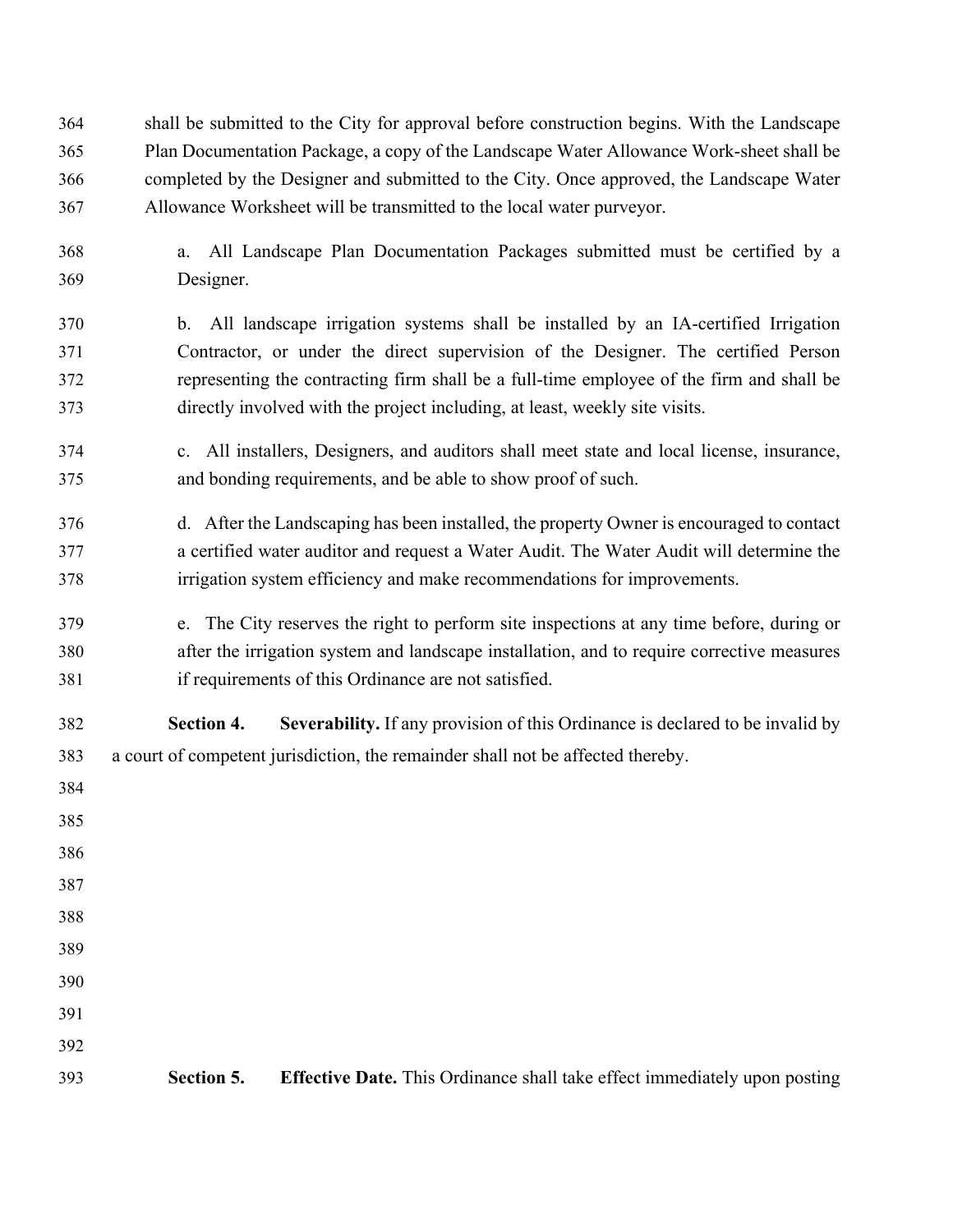shall be submitted to the City for approval before construction begins. With the Landscape Plan Documentation Package, a copy of the Landscape Water Allowance Work-sheet shall be completed by the Designer and submitted to the City. Once approved, the Landscape Water Allowance Worksheet will be transmitted to the local water purveyor.

- a. All Landscape Plan Documentation Packages submitted must be certified by a Designer.
- b. All landscape irrigation systems shall be installed by an IA-certified Irrigation Contractor, or under the direct supervision of the Designer. The certified Person representing the contracting firm shall be a full-time employee of the firm and shall be directly involved with the project including, at least, weekly site visits.
- c. All installers, Designers, and auditors shall meet state and local license, insurance, and bonding requirements, and be able to show proof of such.
- d. After the Landscaping has been installed, the property Owner is encouraged to contact a certified water auditor and request a Water Audit. The Water Audit will determine the irrigation system efficiency and make recommendations for improvements.
- e. The City reserves the right to perform site inspections at any time before, during or after the irrigation system and landscape installation, and to require corrective measures if requirements of this Ordinance are not satisfied.

 **Section 4. Severability.** If any provision of this Ordinance is declared to be invalid by a court of competent jurisdiction, the remainder shall not be affected thereby.

 **Section 5. Effective Date.** This Ordinance shall take effect immediately upon posting